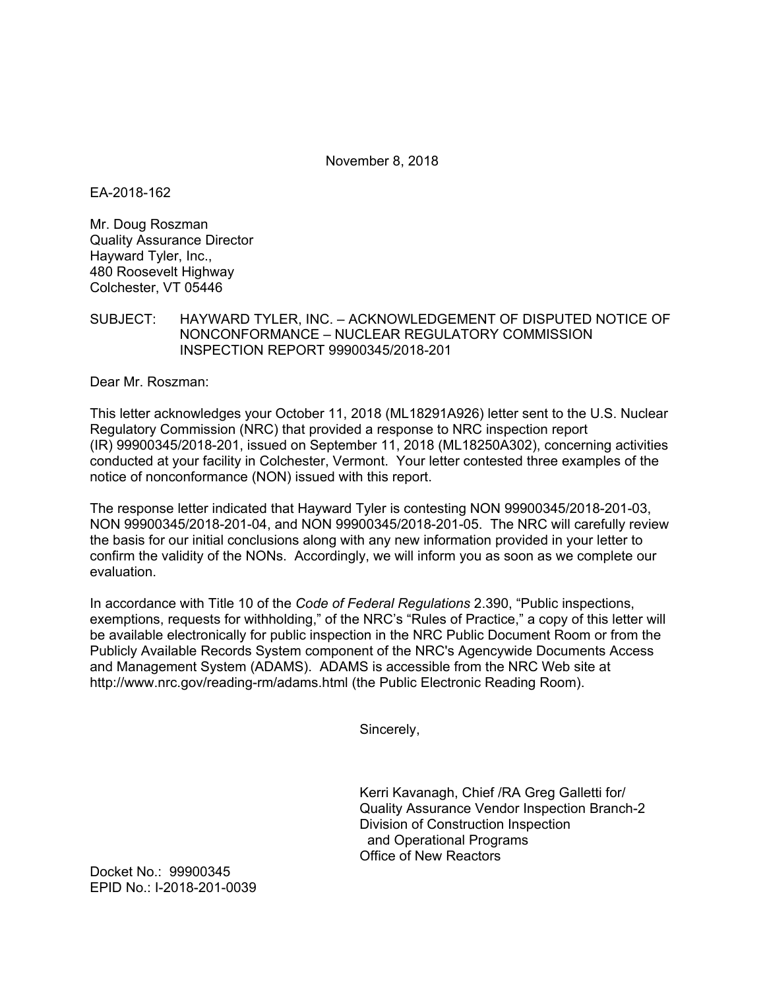November 8, 2018

EA-2018-162

Mr. Doug Roszman Quality Assurance Director Hayward Tyler, Inc., 480 Roosevelt Highway Colchester, VT 05446

SUBJECT: HAYWARD TYLER, INC. – ACKNOWLEDGEMENT OF DISPUTED NOTICE OF NONCONFORMANCE – NUCLEAR REGULATORY COMMISSION INSPECTION REPORT 99900345/2018-201

Dear Mr. Roszman:

This letter acknowledges your October 11, 2018 (ML18291A926) letter sent to the U.S. Nuclear Regulatory Commission (NRC) that provided a response to NRC inspection report (IR) 99900345/2018-201, issued on September 11, 2018 (ML18250A302), concerning activities conducted at your facility in Colchester, Vermont. Your letter contested three examples of the notice of nonconformance (NON) issued with this report.

The response letter indicated that Hayward Tyler is contesting NON 99900345/2018-201-03, NON 99900345/2018-201-04, and NON 99900345/2018-201-05. The NRC will carefully review the basis for our initial conclusions along with any new information provided in your letter to confirm the validity of the NONs. Accordingly, we will inform you as soon as we complete our evaluation.

In accordance with Title 10 of the *Code of Federal Regulations* 2.390, "Public inspections, exemptions, requests for withholding," of the NRC's "Rules of Practice," a copy of this letter will be available electronically for public inspection in the NRC Public Document Room or from the Publicly Available Records System component of the NRC's Agencywide Documents Access and Management System (ADAMS). ADAMS is accessible from the NRC Web site at http://www.nrc.gov/reading-rm/adams.html (the Public Electronic Reading Room).

Sincerely,

Kerri Kavanagh, Chief /RA Greg Galletti for/ Quality Assurance Vendor Inspection Branch-2 Division of Construction Inspection and Operational Programs Office of New Reactors

Docket No.: 99900345 EPID No.: I-2018-201-0039